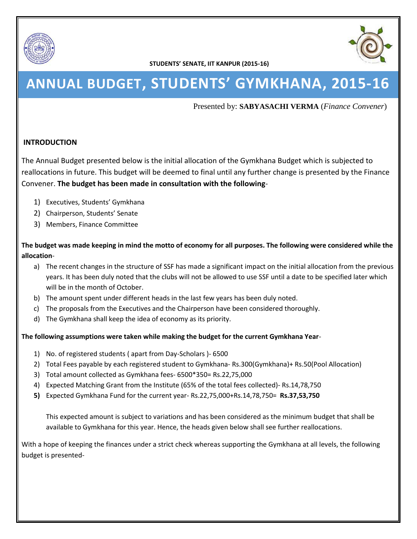



# **ANNUAL BUDGET, STUDENTS' GYMKHANA, 2015-16**

Presented by: **SABYASACHI VERMA** (*Finance Convener*)

### **INTRODUCTION**

The Annual Budget presented below is the initial allocation of the Gymkhana Budget which is subjected to reallocations in future. This budget will be deemed to final until any further change is presented by the Finance Convener. **The budget has been made in consultation with the following**-

- 1) Executives, Students' Gymkhana
- 2) Chairperson, Students' Senate
- 3) Members, Finance Committee

### **The budget was made keeping in mind the motto of economy for all purposes. The following were considered while the allocation**-

- a) The recent changes in the structure of SSF has made a significant impact on the initial allocation from the previous years. It has been duly noted that the clubs will not be allowed to use SSF until a date to be specified later which will be in the month of October.
- b) The amount spent under different heads in the last few years has been duly noted.
- c) The proposals from the Executives and the Chairperson have been considered thoroughly.
- d) The Gymkhana shall keep the idea of economy as its priority.

#### **The following assumptions were taken while making the budget for the current Gymkhana Year**-

- 1) No. of registered students ( apart from Day-Scholars )- 6500
- 2) Total Fees payable by each registered student to Gymkhana- Rs.300(Gymkhana)+ Rs.50(Pool Allocation)
- 3) Total amount collected as Gymkhana fees- 6500\*350= Rs.22,75,000
- 4) Expected Matching Grant from the Institute (65% of the total fees collected)- Rs.14,78,750
- **5)** Expected Gymkhana Fund for the current year- Rs.22,75,000+Rs.14,78,750= **Rs.37,53,750**

This expected amount is subject to variations and has been considered as the minimum budget that shall be available to Gymkhana for this year. Hence, the heads given below shall see further reallocations.

With a hope of keeping the finances under a strict check whereas supporting the Gymkhana at all levels, the following budget is presented-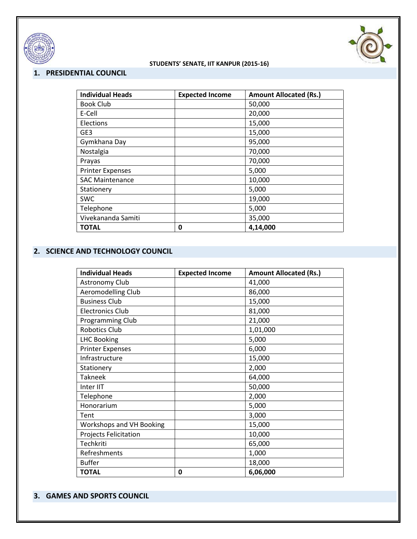



### **1. PRESIDENTIAL COUNCIL**

| <b>Individual Heads</b> | <b>Expected Income</b> | <b>Amount Allocated (Rs.)</b> |
|-------------------------|------------------------|-------------------------------|
| <b>Book Club</b>        |                        | 50,000                        |
| E-Cell                  |                        | 20,000                        |
| Elections               |                        | 15,000                        |
| GE3                     |                        | 15,000                        |
| Gymkhana Day            |                        | 95,000                        |
| Nostalgia               |                        | 70,000                        |
| Prayas                  |                        | 70,000                        |
| <b>Printer Expenses</b> |                        | 5,000                         |
| <b>SAC Maintenance</b>  |                        | 10,000                        |
| Stationery              |                        | 5,000                         |
| <b>SWC</b>              |                        | 19,000                        |
| Telephone               |                        | 5,000                         |
| Vivekananda Samiti      |                        | 35,000                        |
| <b>TOTAL</b>            | 0                      | 4,14,000                      |

#### **2. SCIENCE AND TECHNOLOGY COUNCIL**

| <b>Individual Heads</b>         | <b>Expected Income</b> | <b>Amount Allocated (Rs.)</b> |
|---------------------------------|------------------------|-------------------------------|
| Astronomy Club                  |                        | 41,000                        |
| Aeromodelling Club              |                        | 86,000                        |
| <b>Business Club</b>            |                        | 15,000                        |
| <b>Electronics Club</b>         |                        | 81,000                        |
| Programming Club                |                        | 21,000                        |
| <b>Robotics Club</b>            |                        | 1,01,000                      |
| <b>LHC Booking</b>              |                        | 5,000                         |
| <b>Printer Expenses</b>         |                        | 6,000                         |
| Infrastructure                  |                        | 15,000                        |
| Stationery                      |                        | 2,000                         |
| <b>Takneek</b>                  |                        | 64,000                        |
| Inter IIT                       |                        | 50,000                        |
| Telephone                       |                        | 2,000                         |
| Honorarium                      |                        | 5,000                         |
| Tent                            |                        | 3,000                         |
| <b>Workshops and VH Booking</b> |                        | 15,000                        |
| Projects Felicitation           |                        | 10,000                        |
| Techkriti                       |                        | 65,000                        |
| Refreshments                    |                        | 1,000                         |
| <b>Buffer</b>                   |                        | 18,000                        |
| <b>TOTAL</b>                    | 0                      | 6,06,000                      |

## **3. GAMES AND SPORTS COUNCIL**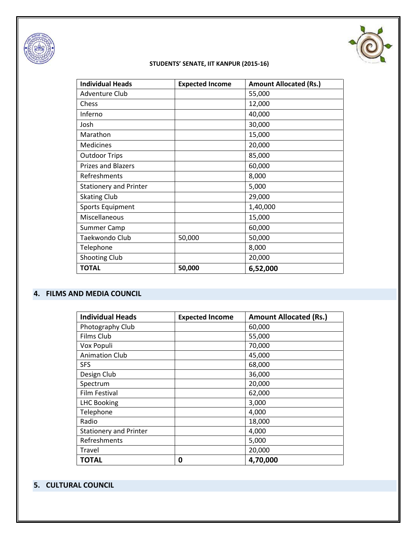



| <b>Individual Heads</b>       | <b>Expected Income</b> | <b>Amount Allocated (Rs.)</b> |
|-------------------------------|------------------------|-------------------------------|
| <b>Adventure Club</b>         |                        | 55,000                        |
| Chess                         |                        | 12,000                        |
| Inferno                       |                        | 40,000                        |
| Josh                          |                        | 30,000                        |
| Marathon                      |                        | 15,000                        |
| Medicines                     |                        | 20,000                        |
| <b>Outdoor Trips</b>          |                        | 85,000                        |
| <b>Prizes and Blazers</b>     |                        | 60,000                        |
| Refreshments                  |                        | 8,000                         |
| <b>Stationery and Printer</b> |                        | 5,000                         |
| <b>Skating Club</b>           |                        | 29,000                        |
| <b>Sports Equipment</b>       |                        | 1,40,000                      |
| Miscellaneous                 |                        | 15,000                        |
| Summer Camp                   |                        | 60,000                        |
| Taekwondo Club                | 50,000                 | 50,000                        |
| Telephone                     |                        | 8,000                         |
| <b>Shooting Club</b>          |                        | 20,000                        |
| <b>TOTAL</b>                  | 50,000                 | 6,52,000                      |

## **4. FILMS AND MEDIA COUNCIL**

| <b>Individual Heads</b>       | <b>Expected Income</b> | <b>Amount Allocated (Rs.)</b> |
|-------------------------------|------------------------|-------------------------------|
| Photography Club              |                        | 60,000                        |
| Films Club                    |                        | 55,000                        |
| Vox Populi                    |                        | 70,000                        |
| <b>Animation Club</b>         |                        | 45,000                        |
| <b>SFS</b>                    |                        | 68,000                        |
| Design Club                   |                        | 36,000                        |
| Spectrum                      |                        | 20,000                        |
| Film Festival                 |                        | 62,000                        |
| <b>LHC Booking</b>            |                        | 3,000                         |
| Telephone                     |                        | 4,000                         |
| Radio                         |                        | 18,000                        |
| <b>Stationery and Printer</b> |                        | 4,000                         |
| Refreshments                  |                        | 5,000                         |
| Travel                        |                        | 20,000                        |
| <b>TOTAL</b>                  | 0                      | 4,70,000                      |

# **5. CULTURAL COUNCIL**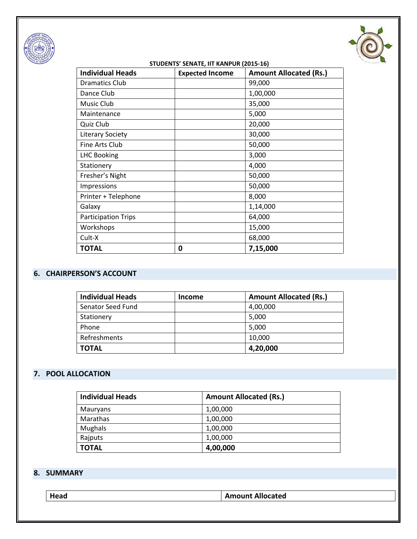



| <b>Individual Heads</b>    | <b>Expected Income</b> | <b>Amount Allocated (Rs.)</b> |
|----------------------------|------------------------|-------------------------------|
| <b>Dramatics Club</b>      |                        | 99,000                        |
| Dance Club                 |                        | 1,00,000                      |
| Music Club                 |                        | 35,000                        |
| Maintenance                |                        | 5,000                         |
| Quiz Club                  |                        | 20,000                        |
| <b>Literary Society</b>    |                        | 30,000                        |
| Fine Arts Club             |                        | 50,000                        |
| <b>LHC Booking</b>         |                        | 3,000                         |
| Stationery                 |                        | 4,000                         |
| Fresher's Night            |                        | 50,000                        |
| Impressions                |                        | 50,000                        |
| Printer + Telephone        |                        | 8,000                         |
| Galaxy                     |                        | 1,14,000                      |
| <b>Participation Trips</b> |                        | 64,000                        |
| Workshops                  |                        | 15,000                        |
| Cult-X                     |                        | 68,000                        |
| <b>TOTAL</b>               | 0                      | 7,15,000                      |

# **6. CHAIRPERSON'S ACCOUNT**

| <b>Individual Heads</b> | <b>Income</b> | <b>Amount Allocated (Rs.)</b> |
|-------------------------|---------------|-------------------------------|
| Senator Seed Fund       |               | 4,00,000                      |
| Stationery              |               | 5,000                         |
| Phone                   |               | 5,000                         |
| Refreshments            |               | 10,000                        |
| <b>TOTAL</b>            |               | 4,20,000                      |

# **7. POOL ALLOCATION**

| <b>Individual Heads</b> | <b>Amount Allocated (Rs.)</b> |
|-------------------------|-------------------------------|
| Mauryans                | 1,00,000                      |
| Marathas                | 1,00,000                      |
| <b>Mughals</b>          | 1,00,000                      |
| Rajputs                 | 1,00,000                      |
| <b>TOTAL</b>            | 4,00,000                      |

# **8. SUMMARY**

| Head | <b>Amount Allocated</b> |
|------|-------------------------|
|------|-------------------------|